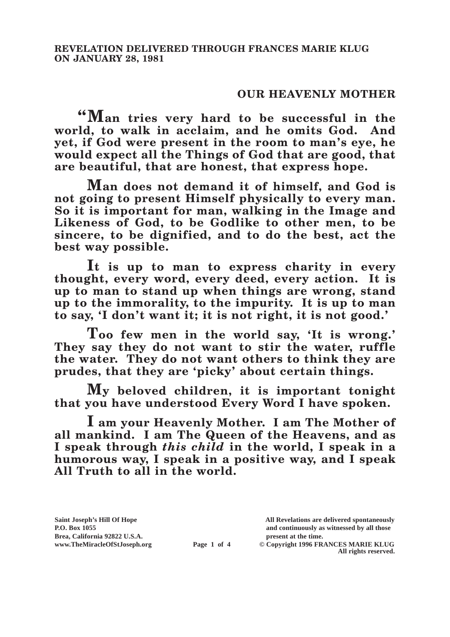## **OUR HEAVENLY MOTHER**

**"Man tries very hard to be successful in the world, to walk in acclaim, and he omits God. And yet, if God were present in the room to man's eye, he would expect all the Things of God that are good, that are beautiful, that are honest, that express hope.**

**Man does not demand it of himself, and God is not going to present Himself physically to every man. So it is important for man, walking in the Image and Likeness of God, to be Godlike to other men, to be sincere, to be dignified, and to do the best, act the best way possible.**

**It is up to man to express charity in every thought, every word, every deed, every action. It is up to man to stand up when things are wrong, stand up to the immorality, to the impurity. It is up to man to say, 'I don't want it; it is not right, it is not good.'**

**Too few men in the world say, 'It is wrong.' They say they do not want to stir the water, ruffle the water. They do not want others to think they are prudes, that they are 'picky' about certain things.**

**My beloved children, it is important tonight that you have understood Every Word I have spoken.**

**I am your Heavenly Mother. I am The Mother of all mankind. I am The Queen of the Heavens, and as I speak through** *this child* **in the world, I speak in a humorous way, I speak in a positive way, and I speak All Truth to all in the world.**

**Saint Joseph's Hill Of Hope All Revelations are delivered spontaneously P.O. Box 1055 and continuously as witnessed by all those** 

**Page 1 of 4** © Copyright 1996 FRANCES MARIE KLUG **All rights reserved.**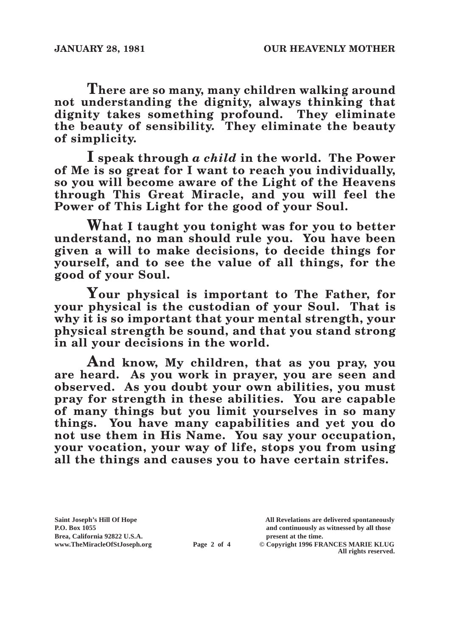**There are so many, many children walking around not understanding the dignity, always thinking that dignity takes something profound. They eliminate the beauty of sensibility. They eliminate the beauty of simplicity.**

**I speak through** *a child* **in the world. The Power of Me is so great for I want to reach you individually, so you will become aware of the Light of the Heavens through This Great Miracle, and you will feel the Power of This Light for the good of your Soul.**

**What I taught you tonight was for you to better understand, no man should rule you. You have been given a will to make decisions, to decide things for yourself, and to see the value of all things, for the good of your Soul.**

**Your physical is important to The Father, for your physical is the custodian of your Soul. That is why it is so important that your mental strength, your physical strength be sound, and that you stand strong in all your decisions in the world.**

**And know, My children, that as you pray, you are heard. As you work in prayer, you are seen and observed. As you doubt your own abilities, you must pray for strength in these abilities. You are capable of many things but you limit yourselves in so many things. You have many capabilities and yet you do not use them in His Name. You say your occupation, your vocation, your way of life, stops you from using all the things and causes you to have certain strifes.**

Brea, California 92822 U.S.A.<br>
www.TheMiracleOfStJoseph.org<br> **Page 2 of 4** © Copyright 1996 FR.

**Saint Joseph's Hill Of Hope All Revelations are delivered spontaneously P.O. Box 1055 and continuously as witnessed by all those** 

 $\odot$  Copyright 1996 FRANCES MARIE KLUG **All rights reserved.**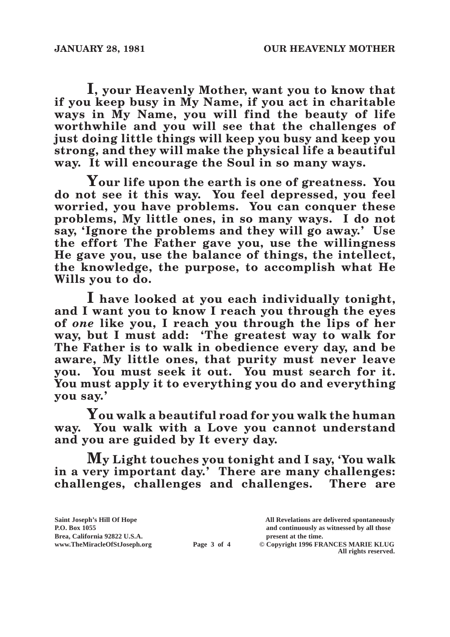**I, your Heavenly Mother, want you to know that if you keep busy in My Name, if you act in charitable ways in My Name, you will find the beauty of life worthwhile and you will see that the challenges of just doing little things will keep you busy and keep you strong, and they will make the physical life a beautiful way. It will encourage the Soul in so many ways.**

**Your life upon the earth is one of greatness. You do not see it this way. You feel depressed, you feel worried, you have problems. You can conquer these problems, My little ones, in so many ways. I do not say, 'Ignore the problems and they will go away.' Use the effort The Father gave you, use the willingness He gave you, use the balance of things, the intellect, the knowledge, the purpose, to accomplish what He Wills you to do.**

**I have looked at you each individually tonight, and I want you to know I reach you through the eyes of** *one* **like you, I reach you through the lips of her way, but I must add: 'The greatest way to walk for The Father is to walk in obedience every day, and be aware, My little ones, that purity must never leave you. You must seek it out. You must search for it. You must apply it to everything you do and everything you say.'**

**You walk a beautiful road for you walk the human way. You walk with a Love you cannot understand and you are guided by It every day.**

**My Light touches you tonight and I say, 'You walk in a very important day.' There are many challenges: challenges, challenges and challenges. There are**